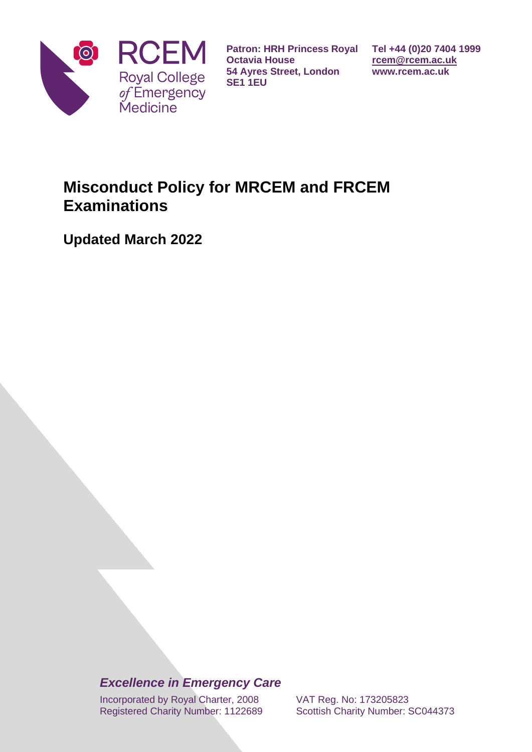

**Patron: HRH Princess Royal Octavia House 54 Ayres Street, London SE1 1EU**

**Tel +44 (0)20 7404 1999 [rcem@rcem.ac.uk](mailto:rcem@rcem.ac.uk) www.rcem.ac.uk**

# **Misconduct Policy for MRCEM and FRCEM Examinations**

**Updated March 2022**

*Excellence in Emergency Care*

Incorporated by Royal Charter, 2008 Registered Charity Number: 1122689 VAT Reg. No: 173205823 Scottish Charity Number: SC044373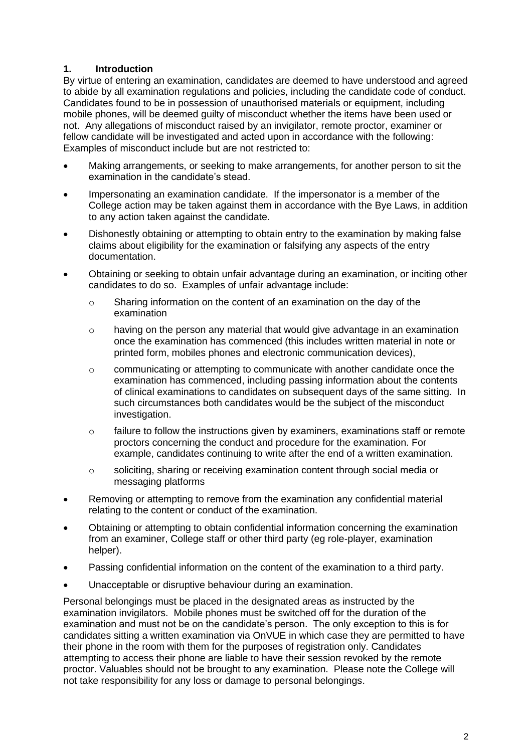# **1. Introduction**

By virtue of entering an examination, candidates are deemed to have understood and agreed to abide by all examination regulations and policies, including the candidate code of conduct. Candidates found to be in possession of unauthorised materials or equipment, including mobile phones, will be deemed guilty of misconduct whether the items have been used or not. Any allegations of misconduct raised by an invigilator, remote proctor, examiner or fellow candidate will be investigated and acted upon in accordance with the following: Examples of misconduct include but are not restricted to:

- Making arrangements, or seeking to make arrangements, for another person to sit the examination in the candidate's stead.
- Impersonating an examination candidate. If the impersonator is a member of the College action may be taken against them in accordance with the Bye Laws, in addition to any action taken against the candidate.
- Dishonestly obtaining or attempting to obtain entry to the examination by making false claims about eligibility for the examination or falsifying any aspects of the entry documentation.
- Obtaining or seeking to obtain unfair advantage during an examination, or inciting other candidates to do so. Examples of unfair advantage include:
	- o Sharing information on the content of an examination on the day of the examination
	- $\circ$  having on the person any material that would give advantage in an examination once the examination has commenced (this includes written material in note or printed form, mobiles phones and electronic communication devices),
	- $\circ$  communicating or attempting to communicate with another candidate once the examination has commenced, including passing information about the contents of clinical examinations to candidates on subsequent days of the same sitting. In such circumstances both candidates would be the subject of the misconduct investigation.
	- $\circ$  failure to follow the instructions given by examiners, examinations staff or remote proctors concerning the conduct and procedure for the examination. For example, candidates continuing to write after the end of a written examination.
	- o soliciting, sharing or receiving examination content through social media or messaging platforms
- Removing or attempting to remove from the examination any confidential material relating to the content or conduct of the examination.
- Obtaining or attempting to obtain confidential information concerning the examination from an examiner, College staff or other third party (eg role-player, examination helper).
- Passing confidential information on the content of the examination to a third party.
- Unacceptable or disruptive behaviour during an examination.

Personal belongings must be placed in the designated areas as instructed by the examination invigilators. Mobile phones must be switched off for the duration of the examination and must not be on the candidate's person. The only exception to this is for candidates sitting a written examination via OnVUE in which case they are permitted to have their phone in the room with them for the purposes of registration only. Candidates attempting to access their phone are liable to have their session revoked by the remote proctor. Valuables should not be brought to any examination. Please note the College will not take responsibility for any loss or damage to personal belongings.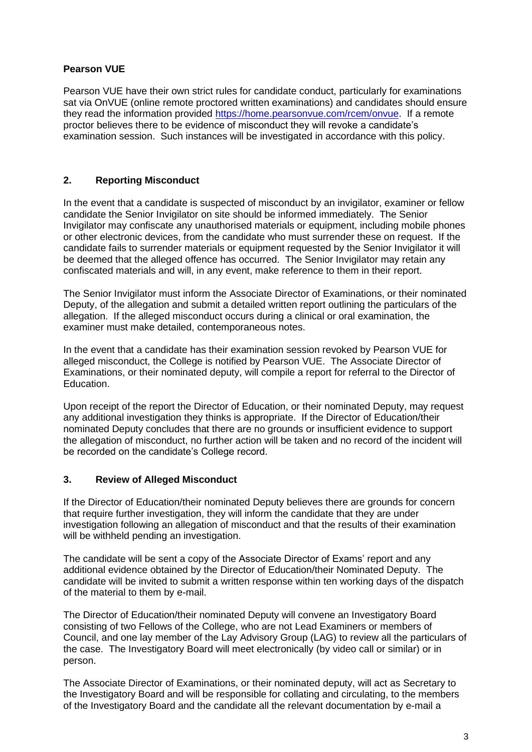## **Pearson VUE**

Pearson VUE have their own strict rules for candidate conduct, particularly for examinations sat via OnVUE (online remote proctored written examinations) and candidates should ensure they read the information provided [https://home.pearsonvue.com/rcem/onvue.](https://home.pearsonvue.com/rcem/onvue) If a remote proctor believes there to be evidence of misconduct they will revoke a candidate's examination session. Such instances will be investigated in accordance with this policy.

### **2. Reporting Misconduct**

In the event that a candidate is suspected of misconduct by an invigilator, examiner or fellow candidate the Senior Invigilator on site should be informed immediately. The Senior Invigilator may confiscate any unauthorised materials or equipment, including mobile phones or other electronic devices, from the candidate who must surrender these on request. If the candidate fails to surrender materials or equipment requested by the Senior Invigilator it will be deemed that the alleged offence has occurred. The Senior Invigilator may retain any confiscated materials and will, in any event, make reference to them in their report.

The Senior Invigilator must inform the Associate Director of Examinations, or their nominated Deputy, of the allegation and submit a detailed written report outlining the particulars of the allegation. If the alleged misconduct occurs during a clinical or oral examination, the examiner must make detailed, contemporaneous notes.

In the event that a candidate has their examination session revoked by Pearson VUE for alleged misconduct, the College is notified by Pearson VUE. The Associate Director of Examinations, or their nominated deputy, will compile a report for referral to the Director of Education.

Upon receipt of the report the Director of Education, or their nominated Deputy, may request any additional investigation they thinks is appropriate. If the Director of Education/their nominated Deputy concludes that there are no grounds or insufficient evidence to support the allegation of misconduct, no further action will be taken and no record of the incident will be recorded on the candidate's College record.

#### **3. Review of Alleged Misconduct**

If the Director of Education/their nominated Deputy believes there are grounds for concern that require further investigation, they will inform the candidate that they are under investigation following an allegation of misconduct and that the results of their examination will be withheld pending an investigation.

The candidate will be sent a copy of the Associate Director of Exams' report and any additional evidence obtained by the Director of Education/their Nominated Deputy. The candidate will be invited to submit a written response within ten working days of the dispatch of the material to them by e-mail.

The Director of Education/their nominated Deputy will convene an Investigatory Board consisting of two Fellows of the College, who are not Lead Examiners or members of Council, and one lay member of the Lay Advisory Group (LAG) to review all the particulars of the case. The Investigatory Board will meet electronically (by video call or similar) or in person.

The Associate Director of Examinations, or their nominated deputy, will act as Secretary to the Investigatory Board and will be responsible for collating and circulating, to the members of the Investigatory Board and the candidate all the relevant documentation by e-mail a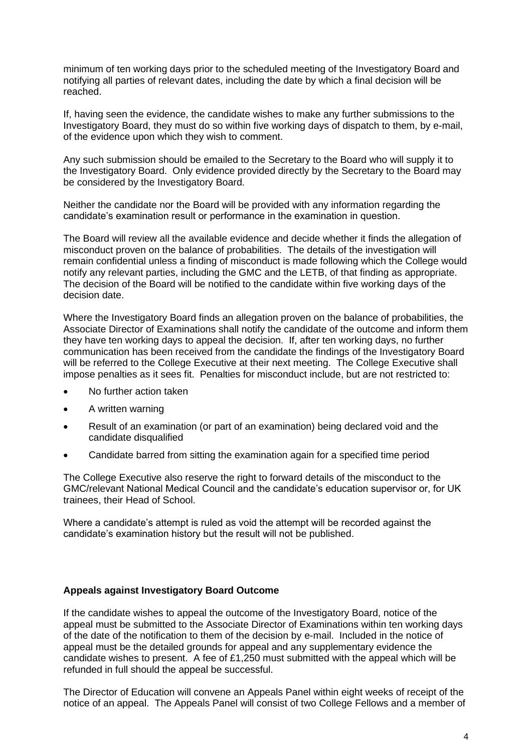minimum of ten working days prior to the scheduled meeting of the Investigatory Board and notifying all parties of relevant dates, including the date by which a final decision will be reached.

If, having seen the evidence, the candidate wishes to make any further submissions to the Investigatory Board, they must do so within five working days of dispatch to them, by e-mail, of the evidence upon which they wish to comment.

Any such submission should be emailed to the Secretary to the Board who will supply it to the Investigatory Board. Only evidence provided directly by the Secretary to the Board may be considered by the Investigatory Board.

Neither the candidate nor the Board will be provided with any information regarding the candidate's examination result or performance in the examination in question.

The Board will review all the available evidence and decide whether it finds the allegation of misconduct proven on the balance of probabilities. The details of the investigation will remain confidential unless a finding of misconduct is made following which the College would notify any relevant parties, including the GMC and the LETB, of that finding as appropriate. The decision of the Board will be notified to the candidate within five working days of the decision date.

Where the Investigatory Board finds an allegation proven on the balance of probabilities, the Associate Director of Examinations shall notify the candidate of the outcome and inform them they have ten working days to appeal the decision. If, after ten working days, no further communication has been received from the candidate the findings of the Investigatory Board will be referred to the College Executive at their next meeting. The College Executive shall impose penalties as it sees fit. Penalties for misconduct include, but are not restricted to:

- No further action taken
- A written warning
- Result of an examination (or part of an examination) being declared void and the candidate disqualified
- Candidate barred from sitting the examination again for a specified time period

The College Executive also reserve the right to forward details of the misconduct to the GMC/relevant National Medical Council and the candidate's education supervisor or, for UK trainees, their Head of School.

Where a candidate's attempt is ruled as void the attempt will be recorded against the candidate's examination history but the result will not be published.

#### **Appeals against Investigatory Board Outcome**

If the candidate wishes to appeal the outcome of the Investigatory Board, notice of the appeal must be submitted to the Associate Director of Examinations within ten working days of the date of the notification to them of the decision by e-mail. Included in the notice of appeal must be the detailed grounds for appeal and any supplementary evidence the candidate wishes to present. A fee of £1,250 must submitted with the appeal which will be refunded in full should the appeal be successful.

The Director of Education will convene an Appeals Panel within eight weeks of receipt of the notice of an appeal. The Appeals Panel will consist of two College Fellows and a member of